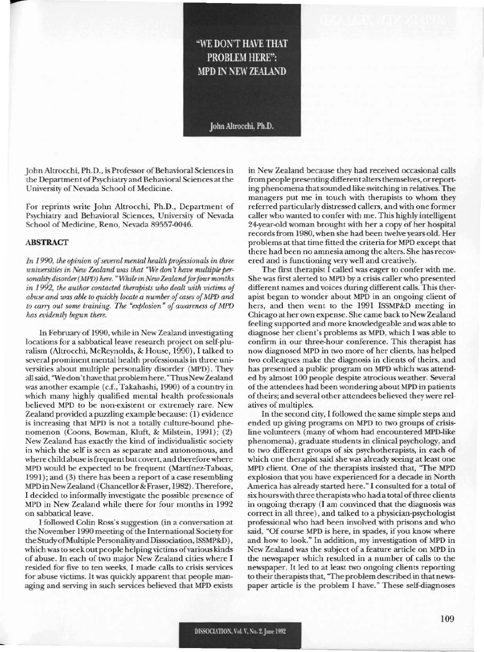## "WE DON'T HAVE THAT **PROBLEM HERE":** MPD IN NEW ZEALAND

John Altrocchi, Ph.D.

John Altrocchi, Ph.D., is Professor of Behavioral Sciences in the Department of Psychiatry and Behavioral Sciences at the University of Nevada School of Medicine.

For reprints write John Altrocchi, Ph.D., Department of Psychiatry and Behavioral Sciences, University of Nevada School of Medicine, Reno, Nevada 89557-0046.

## **ABSTRACT**

In 1990, the opinion of several mental health professionals in three universities in New Zealand was that "We don't have multiple personality disorder (MPD) here. "While in New Zealand for four months in 1992, the author contacted therapists who dealt with victims of abuse and was able to quickly locate a number of cases of MPD and to carry out some training. The "explosion" of awareness of MPD has evidently begun there.

In February of 1990, while in New Zealand investigating locations for a sabbatical leave research project on self-pluralism (Altrocchi, McReynolds, & House, 1990), I talked to several prominent mental health professionals in three universities about multiple personality disorder (MPD). They all said, "We don't have that problem here." Thus New Zealand was another example (c.f., Takahashi, 1990) of a country in which many highly qualified mental health professionals believed MPD to be non-existent or extremely rare. New Zealand provided a puzzling example because: (1) evidence is increasing that MPD is not a totally culture-bound phenomenon (Coons, Bowman, Kluft, & Milstein, 1991); (2) New Zealand has exactly the kind of individualistic society in which the self is seen as separate and autonomous, and where child abuse is frequent but covert, and therefore where MPD would be expected to be frequent (Martínez-Taboas, 1991); and (3) there has been a report of a case resembling MPD in New Zealand (Chancellor & Fraser, 1982). Therefore, I decided to informally investigate the possible presence of MPD in New Zealand while there for four months in 1992 on sabbatical leave.

I followed Colin Ross's suggestion (in a conversation at the November 1990 meeting of the International Society for the Study of Multiple Personality and Dissociation, ISSMP&D), which was to seek out people helping victims of various kinds of abuse. In each of two major New Zealand cities where I resided for five to ten weeks, I made calls to crisis services for abuse victims. It was quickly apparent that people managing and serving in such services believed that MPD exists

in New Zealand because they had received occasional calls from people presenting different alters themselves, or reporting phenomena that sounded like switching in relatives. The managers put me in touch with therapists to whom they referred particularly distressed callers, and with one former caller who wanted to confer with me. This highly intelligent 24-year-old woman brought with her a copy of her hospital records from 1980, when she had been twelve years old. Her problems at that time fitted the criteria for MPD except that there had been no amnesia among the alters. She has recovered and is functioning very well and creatively.

The first therapist I called was eager to confer with me. She was first alerted to MPD by a crisis caller who presented different names and voices during different calls. This therapist began to wonder about MPD in an ongoing client of hers, and then went to the 1991 ISSMP&D meeting in Chicago at her own expense. She came back to New Zealand feeling supported and more knowledgeable and was able to diagnose her client's problems as MPD, which I was able to confirm in our three-hour conference. This therapist has now diagnosed MPD in two more of her clients, has helped two colleagues make the diagnosis in clients of theirs, and has presented a public program on MPD which was attended by almost 100 people despite atrocious weather. Several of the attendees had been wondering about MPD in patients of theirs; and several other attendees believed they were relatives of multiples.

In the second city, I followed the same simple steps and ended up giving programs on MPD to two groups of crisisline volunteers (many of whom had encountered MPD-like phenomena), graduate students in clinical psychology, and to two different groups of six psychotherapists, in each of which one therapist said she was already seeing at least one MPD client. One of the therapists insisted that, "The MPD explosion that you have experienced for a decade in North America has already started here." I consulted for a total of six hours with three therapists who had a total of three clients in ongoing therapy (I am convinced that the diagnosis was correct in all three), and talked to a physician-psychologist professional who had been involved with prisons and who said, "Of course MPD is here, in spades, if you know where and how to look." In addition, my investigation of MPD in New Zealand was the subject of a feature article on MPD in the newspaper which resulted in a number of calls to the newspaper. It led to at least two ongoing clients reporting to their therapists that, "The problem described in that newspaper article is the problem I have." These self-diagnoses